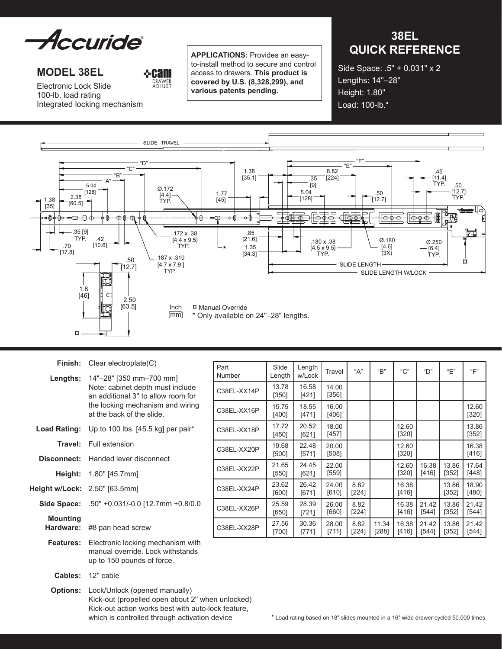

**MODEL 38el**

**&cam** DRAWER<br>ADIUST

Electronic Lock Slide 100-lb. load rating Integrated locking mechanism **Applications:** Provides an easyto-install method to secure and control access to drawers. **This product is covered by U.S. (8,328,299), and various patents pending.**

# **38EL QUICK REFERENCE**

Side Space: .5'' + 0.031" x 2 Lengths: 14"–28'' Height: 1.80" Load: 100-lb.<sup>•</sup>



|                                      | <b>Finish:</b> Clear electroplate $(C)$                                                                                                                                     |  |  |  |  |
|--------------------------------------|-----------------------------------------------------------------------------------------------------------------------------------------------------------------------------|--|--|--|--|
|                                      | Lengths: 14"-28" [350 mm-700 mm]<br>Note: cabinet depth must include<br>an additional 3" to allow room for<br>the locking mechanism and wiring<br>at the back of the slide. |  |  |  |  |
|                                      | <b>Load Rating:</b> Up to 100 lbs. [45.5 kg] per pair*                                                                                                                      |  |  |  |  |
|                                      | <b>Travel:</b> Full extension                                                                                                                                               |  |  |  |  |
| Disconnect:                          | Handed lever disconnect                                                                                                                                                     |  |  |  |  |
|                                      | <b>Height:</b> 1.80" [45.7mm]                                                                                                                                               |  |  |  |  |
| <b>Height w/Lock:</b> 2.50" [63.5mm] |                                                                                                                                                                             |  |  |  |  |
|                                      | Side Space: .50" +0.031/-0.0 [12.7mm +0.8/0.0                                                                                                                               |  |  |  |  |
| <b>Mounting</b><br>Hardware:         | #8 pan head screw                                                                                                                                                           |  |  |  |  |
| <b>Features:</b>                     | Electronic locking mechanism with<br>manual override. Lock withstands<br>up to 150 pounds of force.                                                                         |  |  |  |  |
| <b>Cables:</b>                       | 12" cable                                                                                                                                                                   |  |  |  |  |

**Options:** Lock/Unlock (opened manually) Kick-out (propelled open about 2'' when unlocked) Kick-out action works best with auto-lock feature,<br>which is controlled through activation device

| Part<br>Number | Slide<br>Length  | Length<br>w/Lock | Travel           | "А"             | "В"            | $C$ "            | "D"            | "E"            | "F"              |
|----------------|------------------|------------------|------------------|-----------------|----------------|------------------|----------------|----------------|------------------|
| C38EL-XX14P    | 13.78<br>$[350]$ | 16.58<br>[421]   | 14.00<br>[356]   |                 |                |                  |                |                |                  |
| C38EL-XX16P    | 15.75<br>$[400]$ | 18.55<br>[471]   | 16.00<br>[406]   |                 |                |                  |                |                | 12.60<br>[320]   |
| C38EL-XX18P    | 17.72<br>$[450]$ | 20.52<br>[621]   | 18.00<br>[457]   |                 |                | 12.60<br>$[320]$ |                |                | 13.86<br>$[352]$ |
| C38EL-XX20P    | 19.68<br>[500]   | 22.48<br>[571]   | 20.00<br>$[508]$ |                 |                | 12.60<br>$[320]$ |                |                | 16.38<br>[416]   |
| C38EL-XX22P    | 21.65<br>[550]   | 24.45<br>[621]   | 22.00<br>[559]   |                 |                | 12.60<br>[320]   | 16.38<br>[416] | 13.86<br>[352] | 17.64<br>[448]   |
| C38EL-XX24P    | 23.62<br>[600]   | 26.42<br>$[671]$ | 24.00<br>$[610]$ | 8.82<br>$[224]$ |                | 16.38<br>$[416]$ |                | 13.86<br>[352] | 18.90<br>[480]   |
| C38EL-XX26P    | 25.59<br>[650]   | 28.39<br>$[721]$ | 26.00<br>[660]   | 8.82<br>[224]   |                | 16.38<br>[416]   | 21.42<br>[544] | 13.86<br>[352] | 21.42<br>[544]   |
| C38EL-XX28P    | 27.56<br>[700]   | 30.36<br>[771]   | 28.00<br>[711]   | 8.82<br>[224]   | 11.34<br>[288] | 16.38<br>[416]   | 21.42<br>[544] | 13.86<br>[352] | 21.42<br>[544]   |

\* Load rating based on 18" slides mounted in a 16" wide drawer cycled 50,000 times.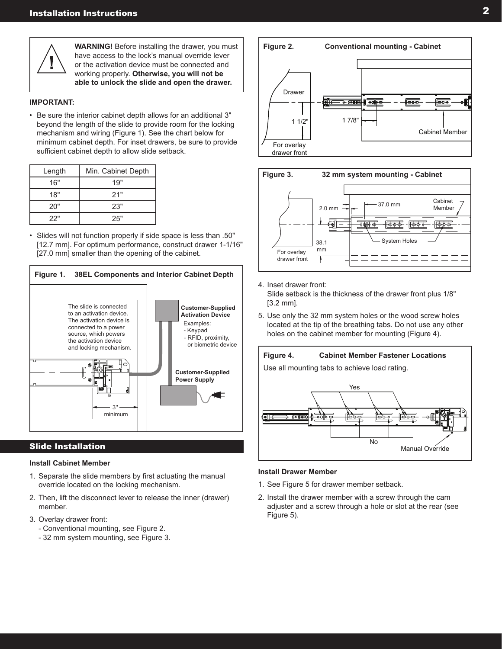

**WARNING!** Before installing the drawer, you must have access to the lock's manual override lever or the activation device must be connected and working properly. **Otherwise, you will not be able to unlock the slide and open the drawer.**

### **IMPORTANT:**

• Be sure the interior cabinet depth allows for an additional 3" beyond the length of the slide to provide room for the locking mechanism and wiring (Figure 1). See the chart below for minimum cabinet depth. For inset drawers, be sure to provide sufficient cabinet depth to allow slide setback.

| Length | Min. Cabinet Depth |
|--------|--------------------|
| 16"    | 19"                |
| 18"    | 21"                |
| 20"    | 23"                |
| 22"    | 25"                |

• Slides will not function properly if side space is less than .50" [12.7 mm]. For optimum performance, construct drawer 1-1/16" [27.0 mm] smaller than the opening of the cabinet.



# Slide Installation

### **Install Cabinet Member**

- 1. Separate the slide members by first actuating the manual override located on the locking mechanism.
- 2. Then, lift the disconnect lever to release the inner (drawer) member.
- 3. Overlay drawer front:
	- Conventional mounting, see Figure 2.
	- 32 mm system mounting, see Figure 3.





- 4. Inset drawer front: Slide setback is the thickness of the drawer front plus 1/8" [3.2 mm].
- 5. Use only the 32 mm system holes or the wood screw holes located at the tip of the breathing tabs. Do not use any other holes on the cabinet member for mounting (Figure 4).



#### **Install Drawer Member**

- 1. See Figure 5 for drawer member setback.
- 2. Install the drawer member with a screw through the cam adjuster and a screw through a hole or slot at the rear (see Figure 5).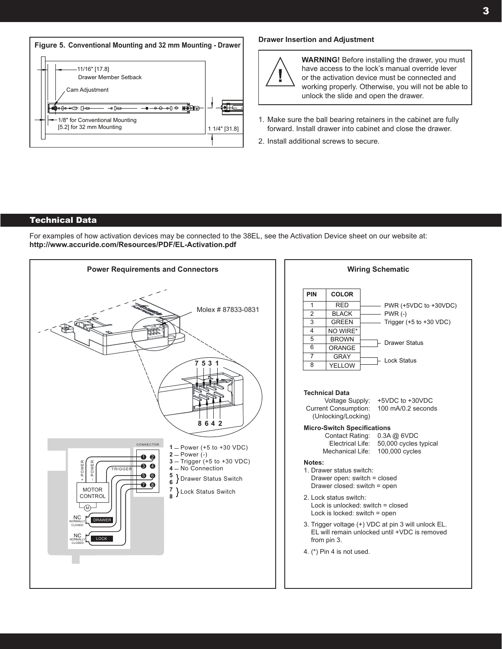



**WARNING!** Before installing the drawer, you must have access to the lock's manual override lever or the activation device must be connected and working properly. Otherwise, you will not be able to unlock the slide and open the drawer.

- 1. Make sure the ball bearing retainers in the cabinet are fully forward. Install drawer into cabinet and close the drawer.
- 2. Install additional screws to secure.

# Technical Data

For examples of how activation devices may be connected to the 38EL, see the Activation Device sheet on our website at: **http://www.accuride.com/Resources/PDF/EL-Activation.pdf**